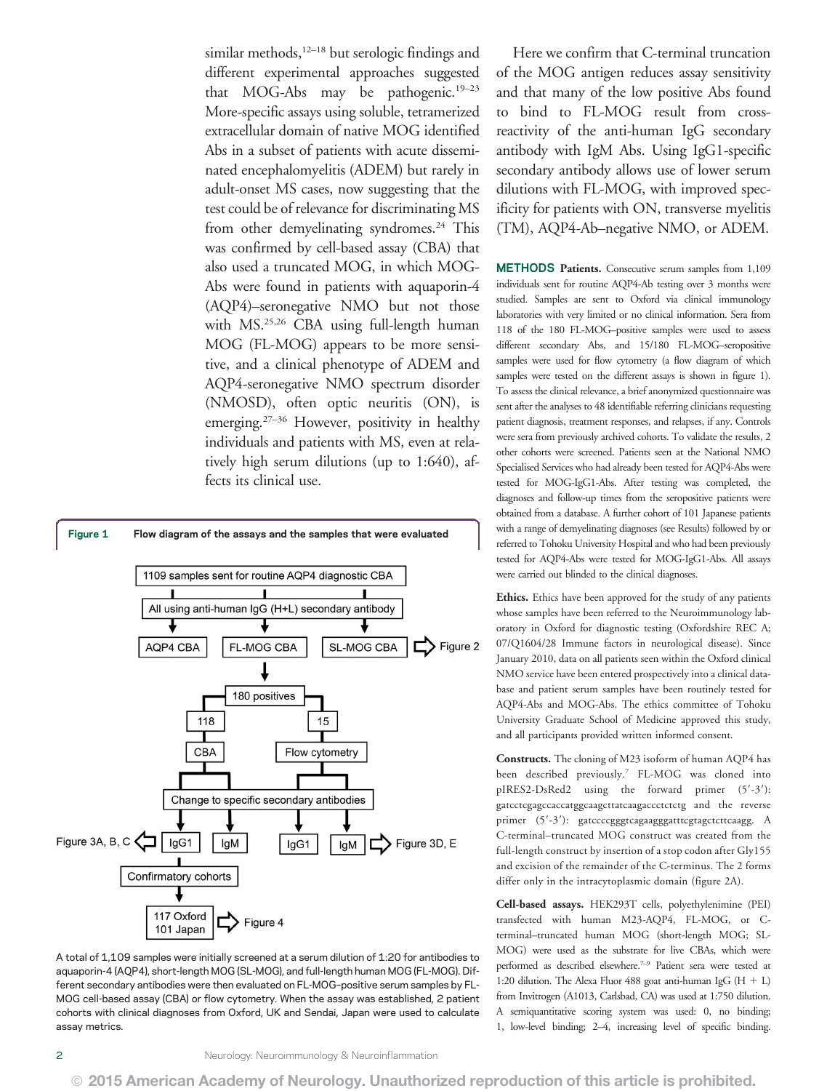similar methods,<sup>12-18</sup> but serologic findings and different experimental approaches suggested that MOG-Abs may be pathogenic.<sup>19–23</sup> More-specific assays using soluble, tetramerized extracellular domain of native MOG identified Abs in a subset of patients with acute disseminated encephalomyelitis (ADEM) but rarely in adult-onset MS cases, now suggesting that the test could be of relevance for discriminating MS from other demyelinating syndromes.<sup>24</sup> This was confirmed by cell-based assay (CBA) that also used a truncated MOG, in which MOG-Abs were found in patients with aquaporin-4 (AQP4)–seronegative NMO but not those with MS.25,26 CBA using full-length human MOG (FL-MOG) appears to be more sensitive, and a clinical phenotype of ADEM and AQP4-seronegative NMO spectrum disorder (NMOSD), often optic neuritis (ON), is emerging.27–<sup>36</sup> However, positivity in healthy individuals and patients with MS, even at relatively high serum dilutions (up to 1:640), affects its clinical use.



A total of 1,109 samples were initially screened at a serum dilution of 1:20 for antibodies to aquaporin-4 (AQP4), short-length MOG (SL-MOG), and full-length human MOG (FL-MOG). Different secondary antibodies were then evaluated on FL-MOG–positive serum samples by FL-MOG cell-based assay (CBA) or flow cytometry. When the assay was established, 2 patient cohorts with clinical diagnoses from Oxford, UK and Sendai, Japan were used to calculate assay metrics.

Here we confirm that C-terminal truncation of the MOG antigen reduces assay sensitivity and that many of the low positive Abs found to bind to FL-MOG result from crossreactivity of the anti-human IgG secondary antibody with IgM Abs. Using IgG1-specific secondary antibody allows use of lower serum dilutions with FL-MOG, with improved specificity for patients with ON, transverse myelitis (TM), AQP4-Ab–negative NMO, or ADEM.

METHODS Patients. Consecutive serum samples from 1,109 individuals sent for routine AQP4-Ab testing over 3 months were studied. Samples are sent to Oxford via clinical immunology laboratories with very limited or no clinical information. Sera from 118 of the 180 FL-MOG–positive samples were used to assess different secondary Abs, and 15/180 FL-MOG–seropositive samples were used for flow cytometry (a flow diagram of which samples were tested on the different assays is shown in figure 1). To assess the clinical relevance, a brief anonymized questionnaire was sent after the analyses to 48 identifiable referring clinicians requesting patient diagnosis, treatment responses, and relapses, if any. Controls were sera from previously archived cohorts. To validate the results, 2 other cohorts were screened. Patients seen at the National NMO Specialised Services who had already been tested for AQP4-Abs were tested for MOG-IgG1-Abs. After testing was completed, the diagnoses and follow-up times from the seropositive patients were obtained from a database. A further cohort of 101 Japanese patients with a range of demyelinating diagnoses (see Results) followed by or referred to Tohoku University Hospital and who had been previously tested for AQP4-Abs were tested for MOG-IgG1-Abs. All assays were carried out blinded to the clinical diagnoses.

Ethics. Ethics have been approved for the study of any patients whose samples have been referred to the Neuroimmunology laboratory in Oxford for diagnostic testing (Oxfordshire REC A; 07/Q1604/28 Immune factors in neurological disease). Since January 2010, data on all patients seen within the Oxford clinical NMO service have been entered prospectively into a clinical database and patient serum samples have been routinely tested for AQP4-Abs and MOG-Abs. The ethics committee of Tohoku University Graduate School of Medicine approved this study, and all participants provided written informed consent.

Constructs. The cloning of M23 isoform of human AQP4 has been described previously.7 FL-MOG was cloned into pIRES2-DsRed2 using the forward primer (5'-3'): gatcctcgagccaccatggcaagcttatcaagaccctctctg and the reverse primer (5'-3'): gatccccgggtcagaagggatttcgtagctcttcaagg. A C-terminal–truncated MOG construct was created from the full-length construct by insertion of a stop codon after Gly155 and excision of the remainder of the C-terminus. The 2 forms differ only in the intracytoplasmic domain (figure 2A).

Cell-based assays. HEK293T cells, polyethylenimine (PEI) transfected with human M23-AQP4, FL-MOG, or Cterminal–truncated human MOG (short-length MOG; SL-MOG) were used as the substrate for live CBAs, which were performed as described elsewhere.7–<sup>9</sup> Patient sera were tested at 1:20 dilution. The Alexa Fluor 488 goat anti-human IgG  $(H + L)$ from Invitrogen (A1013, Carlsbad, CA) was used at 1:750 dilution. A semiquantitative scoring system was used: 0, no binding; 1, low-level binding; 2–4, increasing level of specific binding.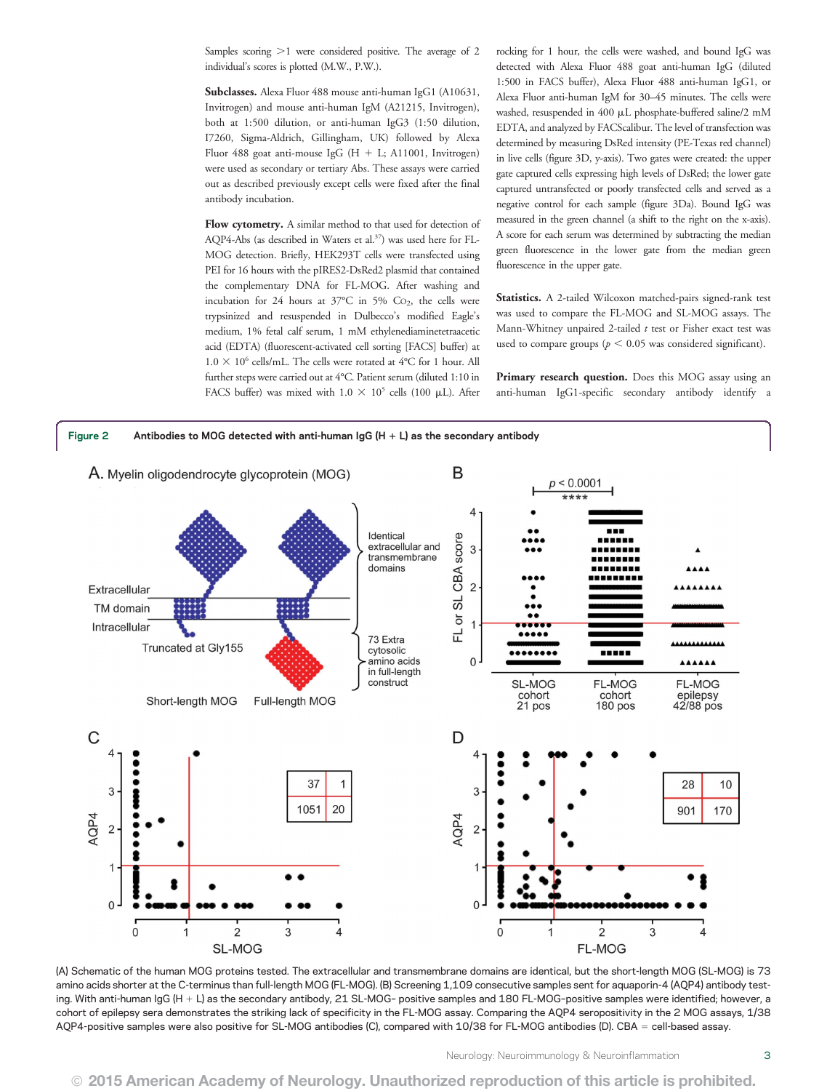Samples scoring  $>1$  were considered positive. The average of 2 individual's scores is plotted (M.W., P.W.).

Subclasses. Alexa Fluor 488 mouse anti-human IgG1 (A10631, Invitrogen) and mouse anti-human IgM (A21215, Invitrogen), both at 1:500 dilution, or anti-human IgG3 (1:50 dilution, I7260, Sigma-Aldrich, Gillingham, UK) followed by Alexa Fluor 488 goat anti-mouse IgG (H + L; A11001, Invitrogen) were used as secondary or tertiary Abs. These assays were carried out as described previously except cells were fixed after the final antibody incubation.

Flow cytometry. A similar method to that used for detection of AQP4-Abs (as described in Waters et al.<sup>37</sup>) was used here for FL-MOG detection. Briefly, HEK293T cells were transfected using PEI for 16 hours with the pIRES2-DsRed2 plasmid that contained the complementary DNA for FL-MOG. After washing and incubation for 24 hours at  $37^{\circ}$ C in 5% Co<sub>2</sub>, the cells were trypsinized and resuspended in Dulbecco's modified Eagle's medium, 1% fetal calf serum, 1 mM ethylenediaminetetraacetic acid (EDTA) (fluorescent-activated cell sorting [FACS] buffer) at  $1.0 \times 10^6$  cells/mL. The cells were rotated at 4°C for 1 hour. All further steps were carried out at 4°C. Patient serum (diluted 1:10 in FACS buffer) was mixed with  $1.0 \times 10^5$  cells (100 µL). After rocking for 1 hour, the cells were washed, and bound IgG was detected with Alexa Fluor 488 goat anti-human IgG (diluted 1:500 in FACS buffer), Alexa Fluor 488 anti-human IgG1, or Alexa Fluor anti-human IgM for 30–45 minutes. The cells were washed, resuspended in 400 mL phosphate-buffered saline/2 mM EDTA, and analyzed by FACScalibur. The level of transfection was determined by measuring DsRed intensity (PE-Texas red channel) in live cells (figure 3D, y-axis). Two gates were created: the upper gate captured cells expressing high levels of DsRed; the lower gate captured untransfected or poorly transfected cells and served as a negative control for each sample (figure 3Da). Bound IgG was measured in the green channel (a shift to the right on the x-axis). A score for each serum was determined by subtracting the median green fluorescence in the lower gate from the median green fluorescence in the upper gate.

Statistics. A 2-tailed Wilcoxon matched-pairs signed-rank test was used to compare the FL-MOG and SL-MOG assays. The Mann-Whitney unpaired 2-tailed  $t$  test or Fisher exact test was used to compare groups ( $p < 0.05$  was considered significant).

Primary research question. Does this MOG assay using an anti-human IgG1-specific secondary antibody identify a



(A) Schematic of the human MOG proteins tested. The extracellular and transmembrane domains are identical, but the short-length MOG (SL-MOG) is 73 amino acids shorter at the C-terminus than full-length MOG (FL-MOG). (B) Screening 1,109 consecutive samples sent for aquaporin-4 (AQP4) antibody testing. With anti-human IgG (H + L) as the secondary antibody, 21 SL-MOG- positive samples and 180 FL-MOG-positive samples were identified; however, a cohort of epilepsy sera demonstrates the striking lack of specificity in the FL-MOG assay. Comparing the AQP4 seropositivity in the 2 MOG assays, 1/38 AQP4-positive samples were also positive for SL-MOG antibodies (C), compared with 10/38 for FL-MOG antibodies (D). CBA = cell-based assay.

Neurology: Neuroimmunology & Neuroinflammation 3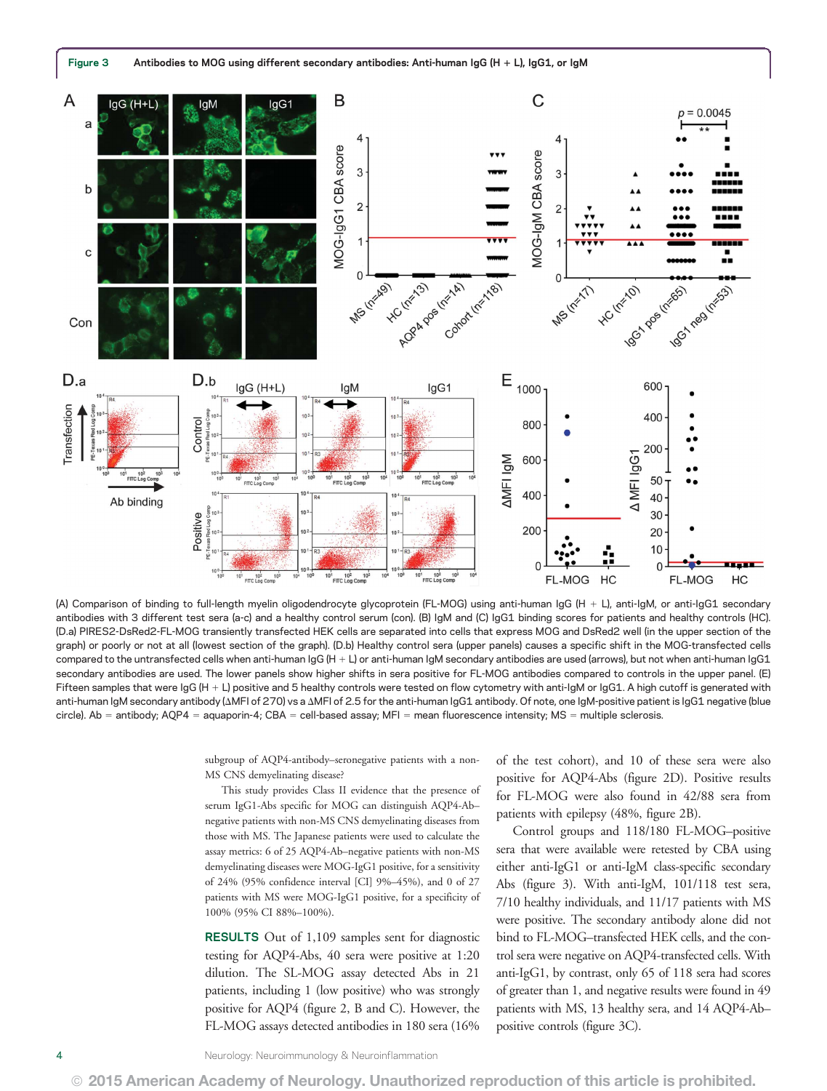

(A) Comparison of binding to full-length myelin oligodendrocyte glycoprotein (FL-MOG) using anti-human IgG (H + L), anti-IgM, or anti-IgG1 secondary antibodies with 3 different test sera (a-c) and a healthy control serum (con). (B) IgM and (C) IgG1 binding scores for patients and healthy controls (HC). (D.a) PIRES2-DsRed2-FL-MOG transiently transfected HEK cells are separated into cells that express MOG and DsRed2 well (in the upper section of the graph) or poorly or not at all (lowest section of the graph). (D.b) Healthy control sera (upper panels) causes a specific shift in the MOG-transfected cells compared to the untransfected cells when anti-human IgG (H + L) or anti-human IgM secondary antibodies are used (arrows), but not when anti-human IgG1 secondary antibodies are used. The lower panels show higher shifts in sera positive for FL-MOG antibodies compared to controls in the upper panel. (E) Fifteen samples that were IgG (H + L) positive and 5 healthy controls were tested on flow cytometry with anti-IgM or IgG1. A high cutoff is generated with anti-human IgM secondary antibody (AMFI of 270) vs a AMFI of 2.5 for the anti-human IgG1 antibody. Of note, one IgM-positive patient is IgG1 negative (blue circle). Ab = antibody; AQP4 = aquaporin-4; CBA = cell-based assay; MFI = mean fluorescence intensity; MS = multiple sclerosis.

subgroup of AQP4-antibody–seronegative patients with a non-MS CNS demyelinating disease?

This study provides Class II evidence that the presence of serum IgG1-Abs specific for MOG can distinguish AQP4-Ab– negative patients with non-MS CNS demyelinating diseases from those with MS. The Japanese patients were used to calculate the assay metrics: 6 of 25 AQP4-Ab–negative patients with non-MS demyelinating diseases were MOG-IgG1 positive, for a sensitivity of 24% (95% confidence interval [CI] 9%–45%), and 0 of 27 patients with MS were MOG-IgG1 positive, for a specificity of 100% (95% CI 88%–100%).

RESULTS Out of 1,109 samples sent for diagnostic testing for AQP4-Abs, 40 sera were positive at 1:20 dilution. The SL-MOG assay detected Abs in 21 patients, including 1 (low positive) who was strongly positive for AQP4 (figure 2, B and C). However, the FL-MOG assays detected antibodies in 180 sera (16% of the test cohort), and 10 of these sera were also positive for AQP4-Abs (figure 2D). Positive results for FL-MOG were also found in 42/88 sera from patients with epilepsy (48%, figure 2B).

Control groups and 118/180 FL-MOG–positive sera that were available were retested by CBA using either anti-IgG1 or anti-IgM class-specific secondary Abs (figure 3). With anti-IgM, 101/118 test sera, 7/10 healthy individuals, and 11/17 patients with MS were positive. The secondary antibody alone did not bind to FL-MOG–transfected HEK cells, and the control sera were negative on AQP4-transfected cells. With anti-IgG1, by contrast, only 65 of 118 sera had scores of greater than 1, and negative results were found in 49 patients with MS, 13 healthy sera, and 14 AQP4-Ab– positive controls (figure 3C).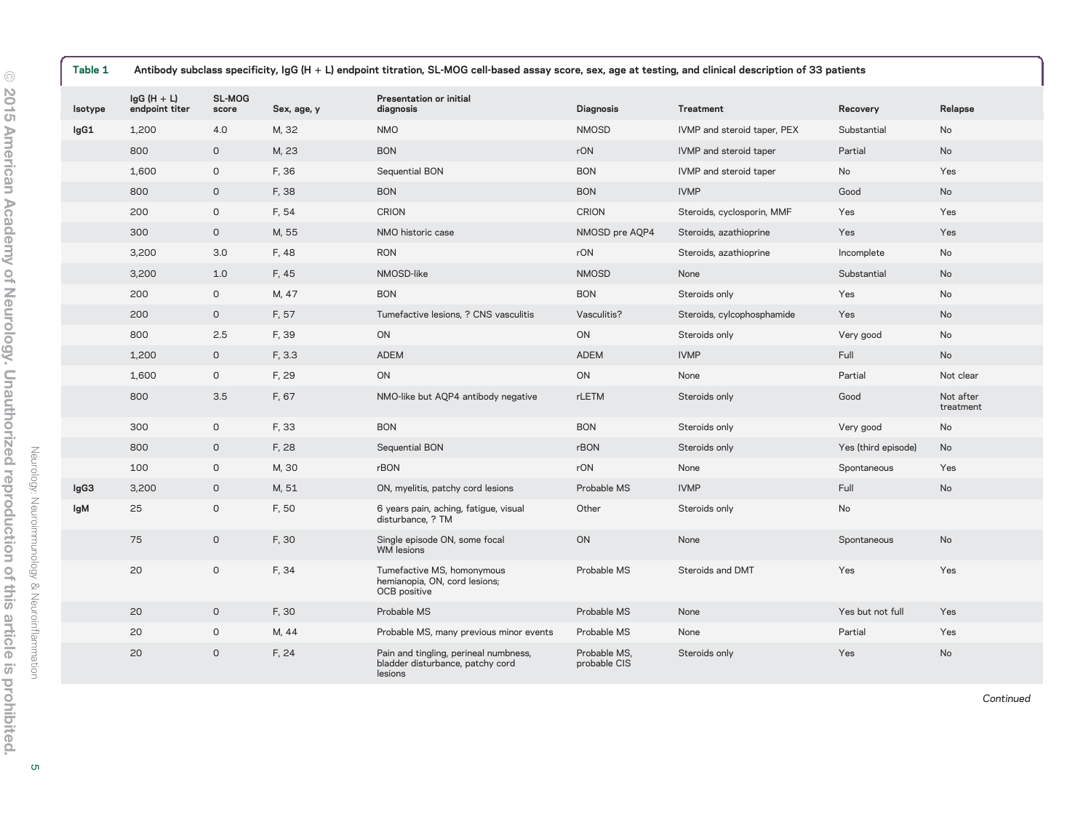| Table 1 | Antibody subclass specificity, IgG (H + L) endpoint titration, SL-MOG cell-based assay score, sex, age at testing, and clinical description of 33 patients |                     |             |                                                                                      |                              |                             |                     |                        |
|---------|------------------------------------------------------------------------------------------------------------------------------------------------------------|---------------------|-------------|--------------------------------------------------------------------------------------|------------------------------|-----------------------------|---------------------|------------------------|
| Isotype | $lgG(H + L)$<br>endpoint titer                                                                                                                             | SL-MOG<br>score     | Sex, age, y | Presentation or initial<br>diagnosis                                                 | <b>Diagnosis</b>             | Treatment                   | Recovery            | Relapse                |
| lgG1    | 1,200                                                                                                                                                      | 4.0                 | M, 32       | <b>NMO</b>                                                                           | <b>NMOSD</b>                 | IVMP and steroid taper, PEX | Substantial         | No                     |
|         | 800                                                                                                                                                        | $\circ$             | M, 23       | <b>BON</b>                                                                           | rON                          | IVMP and steroid taper      | Partial             | <b>No</b>              |
|         | 1,600                                                                                                                                                      | $\mathsf{O}$        | F, 36       | Sequential BON                                                                       | <b>BON</b>                   | IVMP and steroid taper      | No                  | Yes                    |
|         | 800                                                                                                                                                        | $\circ$             | F, 38       | <b>BON</b>                                                                           | <b>BON</b>                   | <b>IVMP</b>                 | Good                | No                     |
|         | 200                                                                                                                                                        | $\mathsf{O}$        | F, 54       | <b>CRION</b>                                                                         | <b>CRION</b>                 | Steroids, cyclosporin, MMF  | Yes                 | Yes                    |
|         | 300                                                                                                                                                        | $\circ$             | M, 55       | NMO historic case                                                                    | NMOSD pre AQP4               | Steroids, azathioprine      | Yes                 | Yes                    |
|         | 3,200                                                                                                                                                      | 3.0                 | F, 48       | <b>RON</b>                                                                           | rON                          | Steroids, azathioprine      | Incomplete          | No                     |
|         | 3,200                                                                                                                                                      | 1.0                 | F, 45       | NMOSD-like                                                                           | <b>NMOSD</b>                 | None                        | Substantial         | No                     |
|         | 200                                                                                                                                                        | $\mathsf{O}\xspace$ | M, 47       | <b>BON</b>                                                                           | <b>BON</b>                   | Steroids only               | Yes                 | No                     |
|         | 200                                                                                                                                                        | $\circ$             | F, 57       | Tumefactive lesions, ? CNS vasculitis                                                | Vasculitis?                  | Steroids, cylcophosphamide  | Yes                 | No                     |
|         | 800                                                                                                                                                        | 2.5                 | F, 39       | ON                                                                                   | ON                           | Steroids only               | Very good           | No                     |
|         | 1,200                                                                                                                                                      | $\circ$             | F, 3.3      | <b>ADEM</b>                                                                          | <b>ADEM</b>                  | <b>IVMP</b>                 | Full                | No                     |
|         | 1,600                                                                                                                                                      | $\mathsf{O}$        | F, 29       | ON                                                                                   | ON                           | None                        | Partial             | Not clear              |
|         | 800                                                                                                                                                        | 3.5                 | F, 67       | NMO-like but AQP4 antibody negative                                                  | rLETM                        | Steroids only               | Good                | Not after<br>treatment |
|         | 300                                                                                                                                                        | $\mathsf{O}$        | F, 33       | <b>BON</b>                                                                           | <b>BON</b>                   | Steroids only               | Very good           | No                     |
|         | 800                                                                                                                                                        | $\mathsf{O}$        | F, 28       | Sequential BON                                                                       | rBON                         | Steroids only               | Yes (third episode) | No                     |
|         | 100                                                                                                                                                        | $\mathsf{O}$        | M, 30       | rBON                                                                                 | rON                          | None                        | Spontaneous         | Yes                    |
| lgG3    | 3,200                                                                                                                                                      | $\circ$             | M, 51       | ON, myelitis, patchy cord lesions                                                    | Probable MS                  | <b>IVMP</b>                 | Full                | No                     |
| lgM     | 25                                                                                                                                                         | $\mathsf{O}\xspace$ | F, 50       | 6 years pain, aching, fatigue, visual<br>disturbance, ? TM                           | Other                        | Steroids only               | No                  |                        |
|         | 75                                                                                                                                                         | $\mathsf{O}$        | F, 30       | Single episode ON, some focal<br><b>WM</b> lesions                                   | ON                           | None                        | Spontaneous         | No                     |
|         | 20                                                                                                                                                         | $\circ$             | F, 34       | Tumefactive MS, homonymous<br>hemianopia, ON, cord lesions;<br>OCB positive          | Probable MS                  | Steroids and DMT            | Yes                 | Yes                    |
|         | 20                                                                                                                                                         | $\mathsf{O}$        | F, 30       | Probable MS                                                                          | Probable MS                  | None                        | Yes but not full    | Yes                    |
|         | 20                                                                                                                                                         | $\mathsf{O}\xspace$ | M, 44       | Probable MS, many previous minor events                                              | Probable MS                  | None                        | Partial             | Yes                    |
|         | 20                                                                                                                                                         | $\circ$             | F, 24       | Pain and tingling, perineal numbness,<br>bladder disturbance, patchy cord<br>lesions | Probable MS,<br>probable CIS | Steroids only               | Yes                 | No                     |

Continued

Neurology: Neuroimmunology & Neuroinflammation

Neurology: Neuroimmunology & Neuroinflammation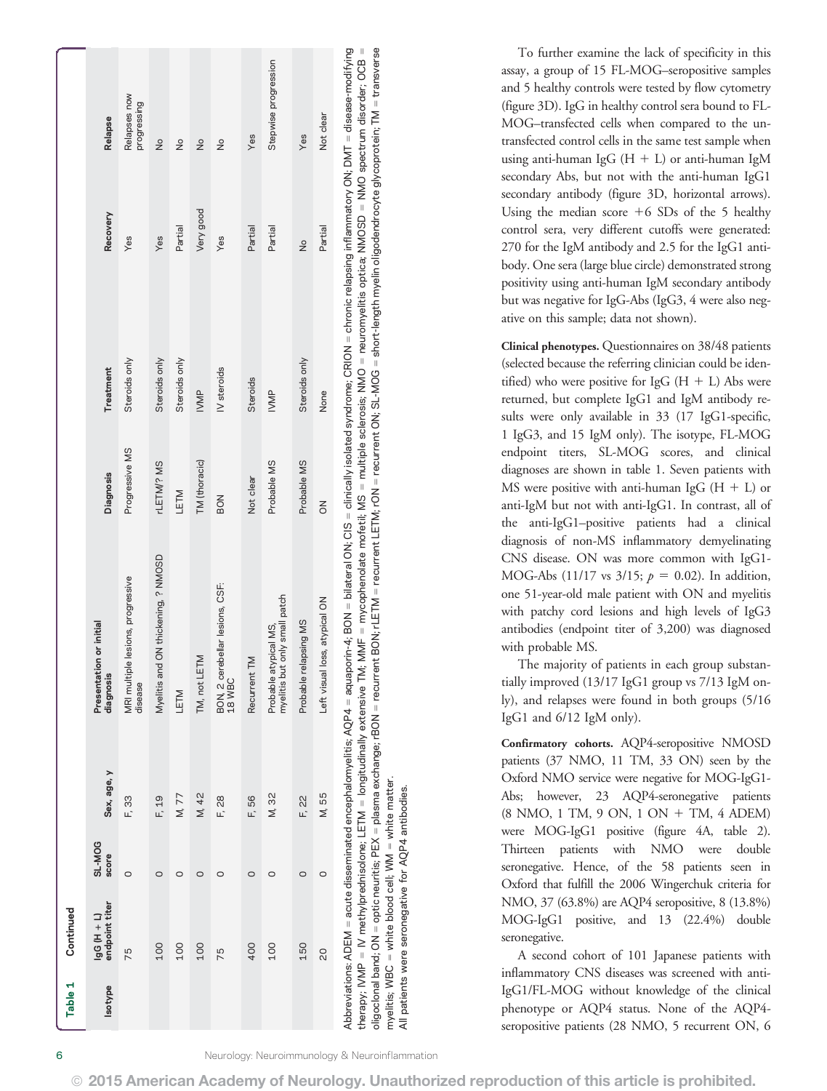| Table 1        | Continued                                                                                    |                 |             |                                                                                                                                                                                                                                                                                                                                                                                                                                                                                                                                                                                                                              |                  |               |               |                             |
|----------------|----------------------------------------------------------------------------------------------|-----------------|-------------|------------------------------------------------------------------------------------------------------------------------------------------------------------------------------------------------------------------------------------------------------------------------------------------------------------------------------------------------------------------------------------------------------------------------------------------------------------------------------------------------------------------------------------------------------------------------------------------------------------------------------|------------------|---------------|---------------|-----------------------------|
| <b>Isotype</b> | endpoint titer<br>14 H D <sup>6</sup>                                                        | SL-MOG<br>score | Sex, age, y | Presentation or initial<br>diagnosis                                                                                                                                                                                                                                                                                                                                                                                                                                                                                                                                                                                         | <b>Diagnosis</b> | Treatment     | Recovery      | Relapse                     |
|                | 57                                                                                           | $\circ$         | F, 33       | MRI multiple lesions, progressive<br>disease                                                                                                                                                                                                                                                                                                                                                                                                                                                                                                                                                                                 | Progressive MS   | Steroids only | Yes           | Relapses now<br>progressing |
|                | 100                                                                                          | $\circ$         | F, 19       | Myelitis and ON thickening, ? NMOSD                                                                                                                                                                                                                                                                                                                                                                                                                                                                                                                                                                                          | rLETM/? MS       | Steroids only | Yes           | $\frac{1}{2}$               |
|                | 100                                                                                          | O               | M, 77       | LETM                                                                                                                                                                                                                                                                                                                                                                                                                                                                                                                                                                                                                         | <b>NLET</b>      | Steroids only | Partial       | $\frac{1}{2}$               |
|                | 100                                                                                          | O               | M, 42       | TM, not LETM                                                                                                                                                                                                                                                                                                                                                                                                                                                                                                                                                                                                                 | TM (thoracic)    | <b>IVMP</b>   | Very good     | $\frac{1}{2}$               |
|                | 75                                                                                           | 0               | F, 28       | BON, 2 cerebellar lesions, CSF:<br>18 WBC                                                                                                                                                                                                                                                                                                                                                                                                                                                                                                                                                                                    | <b>BON</b>       | IV steroids   | Yes           | $\frac{1}{2}$               |
|                | 400                                                                                          | $\circ$         | F, 56       | Recurrent TM                                                                                                                                                                                                                                                                                                                                                                                                                                                                                                                                                                                                                 | Not clear        | Steroids      | Partial       | Yes                         |
|                | 100                                                                                          | O               | M, 32       | myelitis but only small patch<br>Probable atypical MS,                                                                                                                                                                                                                                                                                                                                                                                                                                                                                                                                                                       | Probable MS      | <b>IVMP</b>   | Partial       | Stepwise progression        |
|                | 150                                                                                          | $\circ$         | F, 22       | Probable relapsing MS                                                                                                                                                                                                                                                                                                                                                                                                                                                                                                                                                                                                        | Probable MS      | Steroids only | $\frac{1}{2}$ | Yes                         |
|                | 20                                                                                           | $\circ$         | M, 55       | loss, atypical ON<br>Left visual                                                                                                                                                                                                                                                                                                                                                                                                                                                                                                                                                                                             | $\overline{5}$   | None          | Partial       | Not clear                   |
|                | myelitis; $\textsf{WBC} = \textsf{white}$ blood cell; $\textsf{WM} = \textsf{white}$ matter. |                 |             | oligoclonal band; ON = optic neuritis; PEX = plasma exchange; PBON = recurrent BON; HETM = recurrent LETM; rON = recurrent ON; SL-MOG = short-length myelin oligodendrocyte glycoprotein; TM = transverse<br>Abbreviations: ADEM = acute disseminated encephalomyelitis; AQP4 = aquaporin-4; BON = bilateral ON; CIS = clinically isolated syndrome; CRION = chronic relapsing inflammatory ON; DMT = disease-modifying<br>therapy; IVMP = IV methylprednisolone; LETM = longitudinally extensive TM; MMF = mycophenolate mofetil; MS = multiple sclerosis; NMO = neuromyelitis optica; NMOSD = NMO spectrum disorder; OCB = |                  |               |               |                             |

To further examine the lack of specificity in this assay, a group of 15 FL-MOG–seropositive samples and 5 healthy controls were tested by flow cytometry (figure 3D). IgG in healthy control sera bound to FL-MOG–transfected cells when compared to the untransfected control cells in the same test sample when using anti-human IgG  $(H + L)$  or anti-human IgM secondary Abs, but not with the anti-human IgG1 secondary antibody (figure 3D, horizontal arrows). Using the median score  $+6$  SDs of the 5 healthy control sera, very different cutoffs were generated: 270 for the IgM antibody and 2.5 for the IgG1 antibody. One sera (large blue circle) demonstrated strong positivity using anti-human IgM secondary antibody but was negative for IgG-Abs (IgG3, 4 were also negative on this sample; data not shown).

Clinical phenotypes. Questionnaires on 38/48 patients (selected because the referring clinician could be identified) who were positive for IgG  $(H + L)$  Abs were returned, but complete IgG1 and IgM antibody results were only available in 33 (17 IgG1-specific, 1 IgG3, and 15 IgM only). The isotype, FL-MOG endpoint titers, SL-MOG scores, and clinical diagnoses are shown in table 1. Seven patients with MS were positive with anti-human IgG  $(H + L)$  or anti-IgM but not with anti-IgG1. In contrast, all of the anti-IgG1–positive patients had a clinical diagnosis of non-MS inflammatory demyelinating CNS disease. ON was more common with IgG1- MOG-Abs (11/17 vs  $3/15$ ;  $p = 0.02$ ). In addition, one 51-year-old male patient with ON and myelitis with patchy cord lesions and high levels of IgG3 antibodies (endpoint titer of 3,200) was diagnosed with probable MS.

The majority of patients in each group substantially improved (13/17 IgG1 group vs 7/13 IgM only), and relapses were found in both groups (5/16 IgG1 and 6/12 IgM only).

Confirmatory cohorts. AQP4-seropositive NMOSD patients (37 NMO, 11 TM, 33 ON) seen by the Oxford NMO service were negative for MOG-IgG1- Abs; however, 23 AQP4-seronegative patients (8 NMO, 1 TM, 9 ON, 1 ON + TM, 4 ADEM) were MOG-IgG1 positive (figure 4A, table 2). Thirteen patients with NMO were double seronegative. Hence, of the 58 patients seen in Oxford that fulfill the 2006 Wingerchuk criteria for NMO, 37 (63.8%) are AQP4 seropositive, 8 (13.8%) MOG-IgG1 positive, and 13 (22.4%) double seronegative.

A second cohort of 101 Japanese patients with inflammatory CNS diseases was screened with anti-IgG1/FL-MOG without knowledge of the clinical phenotype or AQP4 status. None of the AQP4 seropositive patients (28 NMO, 5 recurrent ON, 6

 $\overline{a}$ 

All patients were seronegative for AQP4 antibodies.

patients were seronegative for AQP4 antibodies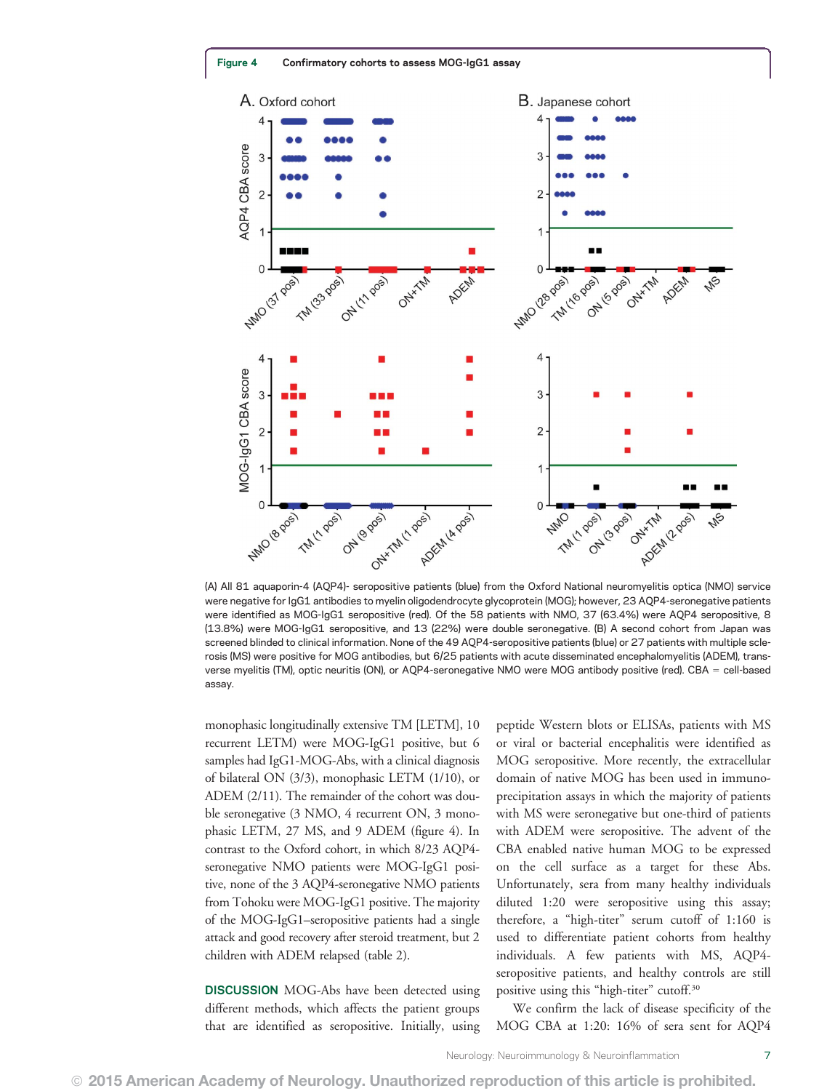

(A) All 81 aquaporin-4 (AQP4)- seropositive patients (blue) from the Oxford National neuromyelitis optica (NMO) service were negative for IgG1 antibodies to myelin oligodendrocyte glycoprotein (MOG); however, 23 AQP4-seronegative patients were identified as MOG-IgG1 seropositive (red). Of the 58 patients with NMO, 37 (63.4%) were AQP4 seropositive, 8 (13.8%) were MOG-IgG1 seropositive, and 13 (22%) were double seronegative. (B) A second cohort from Japan was screened blinded to clinical information. None of the 49 AQP4-seropositive patients (blue) or 27 patients with multiple sclerosis (MS) were positive for MOG antibodies, but 6/25 patients with acute disseminated encephalomyelitis (ADEM), transverse myelitis (TM), optic neuritis (ON), or AQP4-seronegative NMO were MOG antibody positive (red). CBA = cell-based assay.

monophasic longitudinally extensive TM [LETM], 10 recurrent LETM) were MOG-IgG1 positive, but 6 samples had IgG1-MOG-Abs, with a clinical diagnosis of bilateral ON (3/3), monophasic LETM (1/10), or ADEM (2/11). The remainder of the cohort was double seronegative (3 NMO, 4 recurrent ON, 3 monophasic LETM, 27 MS, and 9 ADEM (figure 4). In contrast to the Oxford cohort, in which 8/23 AQP4 seronegative NMO patients were MOG-IgG1 positive, none of the 3 AQP4-seronegative NMO patients from Tohoku were MOG-IgG1 positive. The majority of the MOG-IgG1–seropositive patients had a single attack and good recovery after steroid treatment, but 2 children with ADEM relapsed (table 2).

DISCUSSION MOG-Abs have been detected using different methods, which affects the patient groups that are identified as seropositive. Initially, using peptide Western blots or ELISAs, patients with MS or viral or bacterial encephalitis were identified as MOG seropositive. More recently, the extracellular domain of native MOG has been used in immunoprecipitation assays in which the majority of patients with MS were seronegative but one-third of patients with ADEM were seropositive. The advent of the CBA enabled native human MOG to be expressed on the cell surface as a target for these Abs. Unfortunately, sera from many healthy individuals diluted 1:20 were seropositive using this assay; therefore, a "high-titer" serum cutoff of 1:160 is used to differentiate patient cohorts from healthy individuals. A few patients with MS, AQP4 seropositive patients, and healthy controls are still positive using this "high-titer" cutoff.<sup>30</sup>

We confirm the lack of disease specificity of the MOG CBA at 1:20: 16% of sera sent for AQP4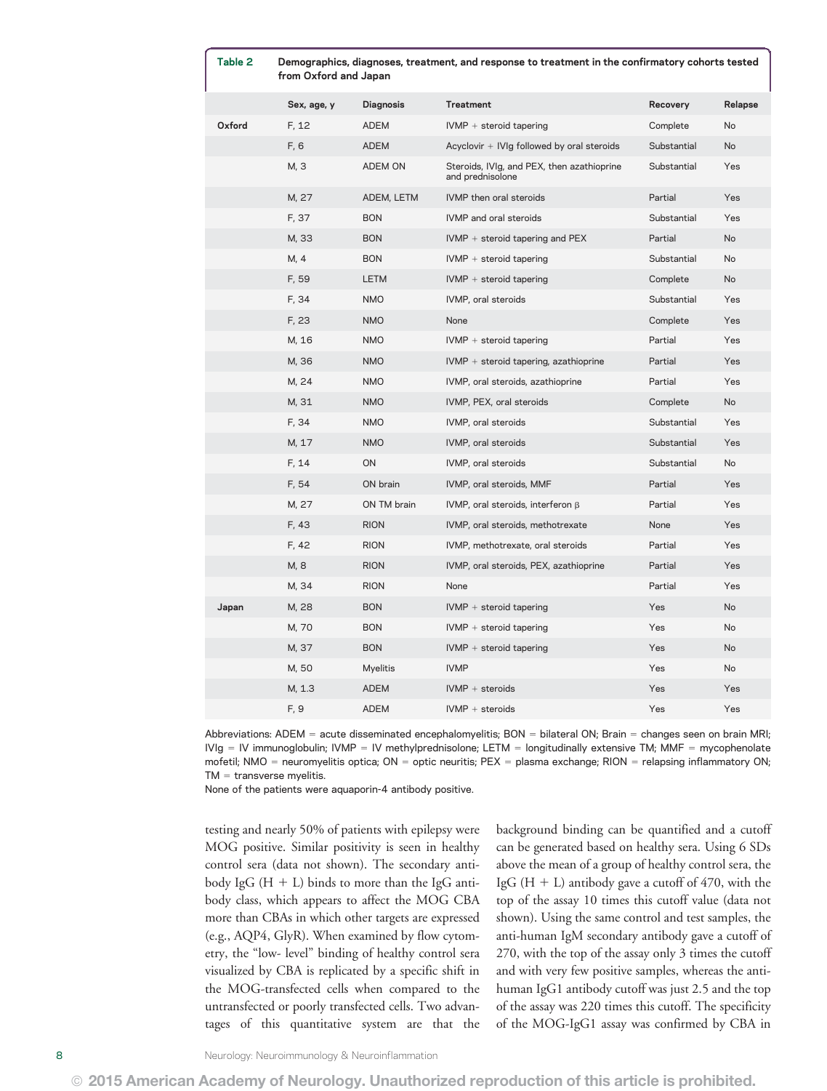| Table 2 | Demographics, diagnoses, treatment, and response to treatment in the confirmatory cohorts tested<br>from Oxford and Japan |                  |                                                                |             |           |
|---------|---------------------------------------------------------------------------------------------------------------------------|------------------|----------------------------------------------------------------|-------------|-----------|
|         | Sex, age, y                                                                                                               | <b>Diagnosis</b> | <b>Treatment</b>                                               | Recovery    | Relapse   |
| Oxford  | F, 12                                                                                                                     | ADEM             | $IVMP +$ steroid tapering                                      | Complete    | <b>No</b> |
|         | F, 6                                                                                                                      | ADEM             | Acyclovir + IVIg followed by oral steroids                     | Substantial | No        |
|         | M, 3                                                                                                                      | ADEM ON          | Steroids, IVIg, and PEX, then azathioprine<br>and prednisolone | Substantial | Yes       |
|         | M, 27                                                                                                                     | ADEM, LETM       | IVMP then oral steroids                                        | Partial     | Yes       |
|         | F, 37                                                                                                                     | <b>BON</b>       | IVMP and oral steroids                                         | Substantial | Yes       |
|         | M, 33                                                                                                                     | <b>BON</b>       | $IVMP +$ steroid tapering and $PEX$                            | Partial     | No        |
|         | M, 4                                                                                                                      | <b>BON</b>       | $IVMP +$ steroid tapering                                      | Substantial | No        |
|         | F, 59                                                                                                                     | <b>LETM</b>      | $IVMP +$ steroid tapering                                      | Complete    | No        |
|         | F, 34                                                                                                                     | <b>NMO</b>       | IVMP, oral steroids                                            | Substantial | Yes       |
|         | F, 23                                                                                                                     | <b>NMO</b>       | None                                                           | Complete    | Yes       |
|         | M, 16                                                                                                                     | <b>NMO</b>       | $IVMP +$ steroid tapering                                      | Partial     | Yes       |
|         | M, 36                                                                                                                     | <b>NMO</b>       | $IVMP +$ steroid tapering, azathioprine                        | Partial     | Yes       |
|         | M, 24                                                                                                                     | <b>NMO</b>       | IVMP, oral steroids, azathioprine                              | Partial     | Yes       |
|         | M, 31                                                                                                                     | <b>NMO</b>       | IVMP, PEX, oral steroids                                       | Complete    | No        |
|         | F, 34                                                                                                                     | <b>NMO</b>       | IVMP, oral steroids                                            | Substantial | Yes       |
|         | M, 17                                                                                                                     | <b>NMO</b>       | IVMP, oral steroids                                            | Substantial | Yes       |
|         | F, 14                                                                                                                     | ON               | IVMP, oral steroids                                            | Substantial | No        |
|         | F, 54                                                                                                                     | ON brain         | IVMP, oral steroids, MMF                                       | Partial     | Yes       |
|         | M, 27                                                                                                                     | ON TM brain      | IVMP, oral steroids, interferon $\beta$                        | Partial     | Yes       |
|         | F, 43                                                                                                                     | <b>RION</b>      | IVMP, oral steroids, methotrexate                              | None        | Yes       |
|         | F, 42                                                                                                                     | <b>RION</b>      | IVMP, methotrexate, oral steroids                              | Partial     | Yes       |
|         | M, 8                                                                                                                      | <b>RION</b>      | IVMP, oral steroids, PEX, azathioprine                         | Partial     | Yes       |
|         | M, 34                                                                                                                     | <b>RION</b>      | None                                                           | Partial     | Yes       |
| Japan   | M, 28                                                                                                                     | <b>BON</b>       | $IVMP +$ steroid tapering                                      | Yes         | No        |
|         | M, 70                                                                                                                     | <b>BON</b>       | $IVMP + steroid tapering$                                      | Yes         | No        |
|         | M, 37                                                                                                                     | <b>BON</b>       | $IVMP +$ steroid tapering                                      | Yes         | No        |
|         | M, 50                                                                                                                     | <b>Myelitis</b>  | <b>IVMP</b>                                                    | Yes         | No        |
|         | M, 1.3                                                                                                                    | <b>ADEM</b>      | $IVMP +$ steroids                                              | Yes         | Yes       |
|         | F, 9                                                                                                                      | <b>ADEM</b>      | $IVMP +$ steroids                                              | Yes         | Yes       |
|         |                                                                                                                           |                  |                                                                |             |           |

Abbreviations: ADEM = acute disseminated encephalomyelitis; BON = bilateral ON; Brain = changes seen on brain MRI;  $IVIg = IV$  immunoglobulin;  $IVMP = IV$  methylprednisolone; LETM = longitudinally extensive TM; MMF = mycophenolate mofetil; NMO = neuromyelitis optica; ON = optic neuritis; PEX = plasma exchange; RION = relapsing inflammatory ON;  $TM =$  transverse myelitis.

None of the patients were aquaporin-4 antibody positive.

testing and nearly 50% of patients with epilepsy were MOG positive. Similar positivity is seen in healthy control sera (data not shown). The secondary antibody IgG  $(H + L)$  binds to more than the IgG antibody class, which appears to affect the MOG CBA more than CBAs in which other targets are expressed (e.g., AQP4, GlyR). When examined by flow cytometry, the "low- level" binding of healthy control sera visualized by CBA is replicated by a specific shift in the MOG-transfected cells when compared to the untransfected or poorly transfected cells. Two advantages of this quantitative system are that the

background binding can be quantified and a cutoff can be generated based on healthy sera. Using 6 SDs above the mean of a group of healthy control sera, the IgG  $(H + L)$  antibody gave a cutoff of 470, with the top of the assay 10 times this cutoff value (data not shown). Using the same control and test samples, the anti-human IgM secondary antibody gave a cutoff of 270, with the top of the assay only 3 times the cutoff and with very few positive samples, whereas the antihuman IgG1 antibody cutoff was just 2.5 and the top of the assay was 220 times this cutoff. The specificity of the MOG-IgG1 assay was confirmed by CBA in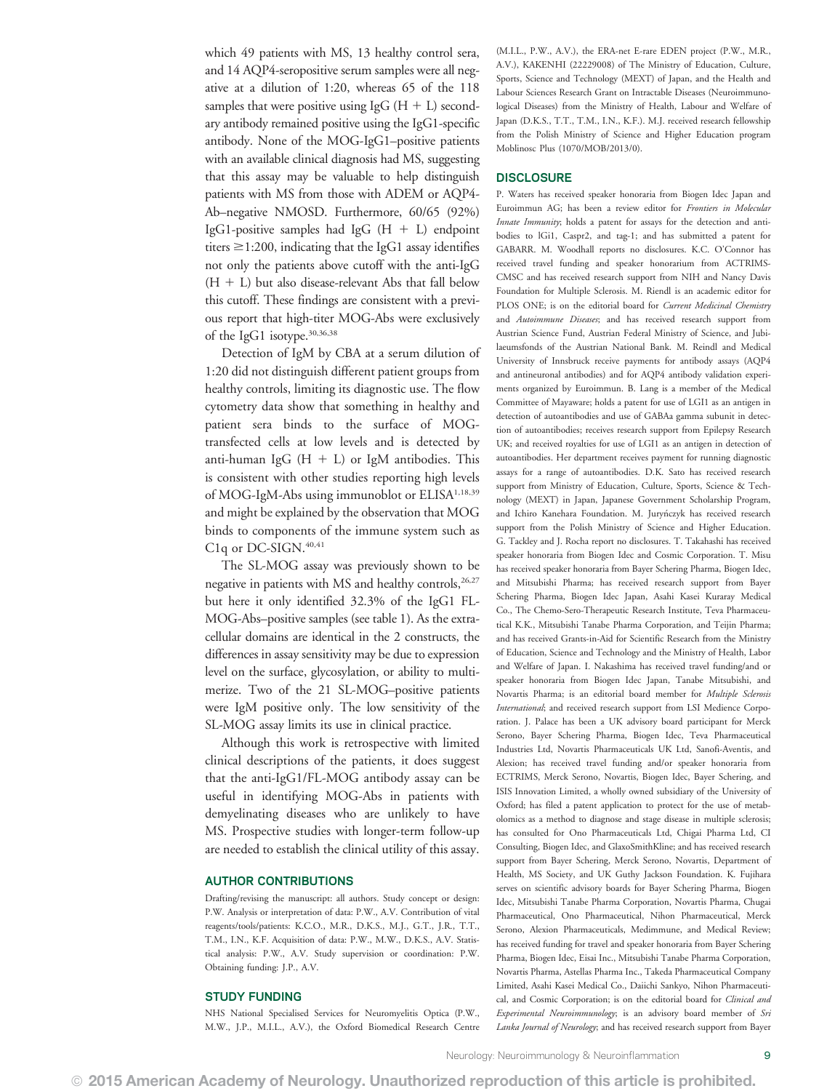which 49 patients with MS, 13 healthy control sera, and 14 AQP4-seropositive serum samples were all negative at a dilution of 1:20, whereas 65 of the 118 samples that were positive using IgG  $(H + L)$  secondary antibody remained positive using the IgG1-specific antibody. None of the MOG-IgG1–positive patients with an available clinical diagnosis had MS, suggesting that this assay may be valuable to help distinguish patients with MS from those with ADEM or AQP4- Ab–negative NMOSD. Furthermore, 60/65 (92%) IgG1-positive samples had IgG  $(H + L)$  endpoint titers  $\geq$ 1:200, indicating that the IgG1 assay identifies not only the patients above cutoff with the anti-IgG  $(H + L)$  but also disease-relevant Abs that fall below this cutoff. These findings are consistent with a previous report that high-titer MOG-Abs were exclusively of the IgG1 isotype.30,36,38

Detection of IgM by CBA at a serum dilution of 1:20 did not distinguish different patient groups from healthy controls, limiting its diagnostic use. The flow cytometry data show that something in healthy and patient sera binds to the surface of MOGtransfected cells at low levels and is detected by anti-human IgG  $(H + L)$  or IgM antibodies. This is consistent with other studies reporting high levels of MOG-IgM-Abs using immunoblot or ELISA1,18,39 and might be explained by the observation that MOG binds to components of the immune system such as C1q or DC-SIGN.<sup>40,41</sup>

The SL-MOG assay was previously shown to be negative in patients with MS and healthy controls,<sup>26,27</sup> but here it only identified 32.3% of the IgG1 FL-MOG-Abs–positive samples (see table 1). As the extracellular domains are identical in the 2 constructs, the differences in assay sensitivity may be due to expression level on the surface, glycosylation, or ability to multimerize. Two of the 21 SL-MOG–positive patients were IgM positive only. The low sensitivity of the SL-MOG assay limits its use in clinical practice.

Although this work is retrospective with limited clinical descriptions of the patients, it does suggest that the anti-IgG1/FL-MOG antibody assay can be useful in identifying MOG-Abs in patients with demyelinating diseases who are unlikely to have MS. Prospective studies with longer-term follow-up are needed to establish the clinical utility of this assay.

# AUTHOR CONTRIBUTIONS

Drafting/revising the manuscript: all authors. Study concept or design: P.W. Analysis or interpretation of data: P.W., A.V. Contribution of vital reagents/tools/patients: K.C.O., M.R., D.K.S., M.J., G.T., J.R., T.T., T.M., I.N., K.F. Acquisition of data: P.W., M.W., D.K.S., A.V. Statistical analysis: P.W., A.V. Study supervision or coordination: P.W. Obtaining funding: J.P., A.V.

## STUDY FUNDING

NHS National Specialised Services for Neuromyelitis Optica (P.W., M.W., J.P., M.I.L., A.V.), the Oxford Biomedical Research Centre (M.I.L., P.W., A.V.), the ERA-net E-rare EDEN project (P.W., M.R., A.V.), KAKENHI (22229008) of The Ministry of Education, Culture, Sports, Science and Technology (MEXT) of Japan, and the Health and Labour Sciences Research Grant on Intractable Diseases (Neuroimmunological Diseases) from the Ministry of Health, Labour and Welfare of Japan (D.K.S., T.T., T.M., I.N., K.F.). M.J. received research fellowship from the Polish Ministry of Science and Higher Education program Moblinosc Plus (1070/MOB/2013/0).

### **DISCLOSURE**

P. Waters has received speaker honoraria from Biogen Idec Japan and Euroimmun AG; has been a review editor for Frontiers in Molecular Innate Immunity; holds a patent for assays for the detection and antibodies to lGi1, Caspr2, and tag-1; and has submitted a patent for GABARR. M. Woodhall reports no disclosures. K.C. O'Connor has received travel funding and speaker honorarium from ACTRIMS-CMSC and has received research support from NIH and Nancy Davis Foundation for Multiple Sclerosis. M. Riendl is an academic editor for PLOS ONE; is on the editorial board for Current Medicinal Chemistry and Autoimmune Diseases; and has received research support from Austrian Science Fund, Austrian Federal Ministry of Science, and Jubilaeumsfonds of the Austrian National Bank. M. Reindl and Medical University of Innsbruck receive payments for antibody assays (AQP4 and antineuronal antibodies) and for AQP4 antibody validation experiments organized by Euroimmun. B. Lang is a member of the Medical Committee of Mayaware; holds a patent for use of LGI1 as an antigen in detection of autoantibodies and use of GABAa gamma subunit in detection of autoantibodies; receives research support from Epilepsy Research UK; and received royalties for use of LGI1 as an antigen in detection of autoantibodies. Her department receives payment for running diagnostic assays for a range of autoantibodies. D.K. Sato has received research support from Ministry of Education, Culture, Sports, Science & Technology (MEXT) in Japan, Japanese Government Scholarship Program, and Ichiro Kanehara Foundation. M. Juryńczyk has received research support from the Polish Ministry of Science and Higher Education. G. Tackley and J. Rocha report no disclosures. T. Takahashi has received speaker honoraria from Biogen Idec and Cosmic Corporation. T. Misu has received speaker honoraria from Bayer Schering Pharma, Biogen Idec, and Mitsubishi Pharma; has received research support from Bayer Schering Pharma, Biogen Idec Japan, Asahi Kasei Kuraray Medical Co., The Chemo-Sero-Therapeutic Research Institute, Teva Pharmaceutical K.K., Mitsubishi Tanabe Pharma Corporation, and Teijin Pharma; and has received Grants-in-Aid for Scientific Research from the Ministry of Education, Science and Technology and the Ministry of Health, Labor and Welfare of Japan. I. Nakashima has received travel funding/and or speaker honoraria from Biogen Idec Japan, Tanabe Mitsubishi, and Novartis Pharma; is an editorial board member for Multiple Sclerosis International; and received research support from LSI Medience Corporation. J. Palace has been a UK advisory board participant for Merck Serono, Bayer Schering Pharma, Biogen Idec, Teva Pharmaceutical Industries Ltd, Novartis Pharmaceuticals UK Ltd, Sanofi-Aventis, and Alexion; has received travel funding and/or speaker honoraria from ECTRIMS, Merck Serono, Novartis, Biogen Idec, Bayer Schering, and ISIS Innovation Limited, a wholly owned subsidiary of the University of Oxford; has filed a patent application to protect for the use of metabolomics as a method to diagnose and stage disease in multiple sclerosis; has consulted for Ono Pharmaceuticals Ltd, Chigai Pharma Ltd, CI Consulting, Biogen Idec, and GlaxoSmithKline; and has received research support from Bayer Schering, Merck Serono, Novartis, Department of Health, MS Society, and UK Guthy Jackson Foundation. K. Fujihara serves on scientific advisory boards for Bayer Schering Pharma, Biogen Idec, Mitsubishi Tanabe Pharma Corporation, Novartis Pharma, Chugai Pharmaceutical, Ono Pharmaceutical, Nihon Pharmaceutical, Merck Serono, Alexion Pharmaceuticals, Medimmune, and Medical Review; has received funding for travel and speaker honoraria from Bayer Schering Pharma, Biogen Idec, Eisai Inc., Mitsubishi Tanabe Pharma Corporation, Novartis Pharma, Astellas Pharma Inc., Takeda Pharmaceutical Company Limited, Asahi Kasei Medical Co., Daiichi Sankyo, Nihon Pharmaceutical, and Cosmic Corporation; is on the editorial board for Clinical and Experimental Neuroimmunology; is an advisory board member of Sri Lanka Journal of Neurology; and has received research support from Bayer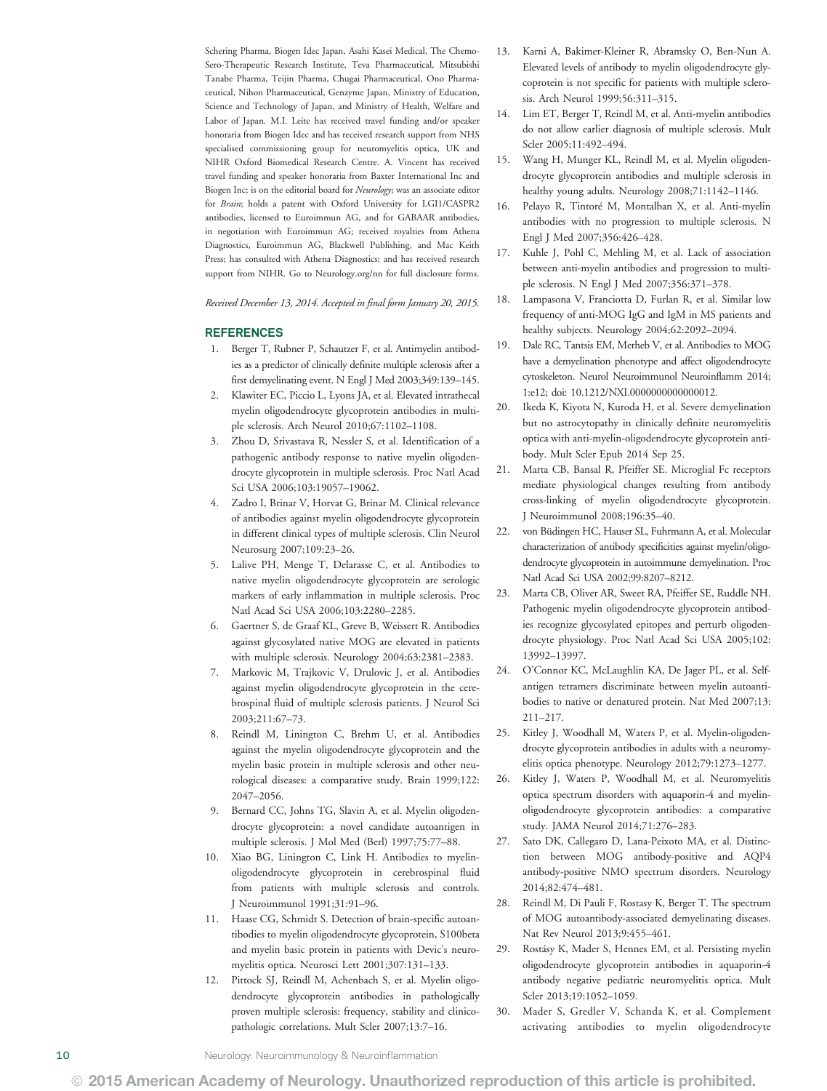Schering Pharma, Biogen Idec Japan, Asahi Kasei Medical, The Chemo-Sero-Therapeutic Research Institute, Teva Pharmaceutical, Mitsubishi Tanabe Pharma, Teijin Pharma, Chugai Pharmaceutical, Ono Pharmaceutical, Nihon Pharmaceutical, Genzyme Japan, Ministry of Education, Science and Technology of Japan, and Ministry of Health, Welfare and Labor of Japan. M.I. Leite has received travel funding and/or speaker honoraria from Biogen Idec and has received research support from NHS specialised commissioning group for neuromyelitis optica, UK and NIHR Oxford Biomedical Research Centre. A. Vincent has received travel funding and speaker honoraria from Baxter International Inc and Biogen Inc; is on the editorial board for Neurology; was an associate editor for Brain; holds a patent with Oxford University for LGI1/CASPR2 antibodies, licensed to Euroimmun AG, and for GABAAR antibodies, in negotiation with Euroimmun AG; received royalties from Athena Diagnostics, Euroimmun AG, Blackwell Publishing, and Mac Keith Press; has consulted with Athena Diagnostics; and has received research support from NIHR. Go to [Neurology.org/nn](http://nn.neurology.org/lookup/doi/10.1212/NXI.0000000000000089) for full disclosure forms.

Received December 13, 2014. Accepted in final form January 20, 2015.

# REFERENCES

- 1. Berger T, Rubner P, Schautzer F, et al. Antimyelin antibodies as a predictor of clinically definite multiple sclerosis after a first demyelinating event. N Engl J Med 2003;349:139–145.
- 2. Klawiter EC, Piccio L, Lyons JA, et al. Elevated intrathecal myelin oligodendrocyte glycoprotein antibodies in multiple sclerosis. Arch Neurol 2010;67:1102–1108.
- 3. Zhou D, Srivastava R, Nessler S, et al. Identification of a pathogenic antibody response to native myelin oligodendrocyte glycoprotein in multiple sclerosis. Proc Natl Acad Sci USA 2006;103:19057–19062.
- 4. Zadro I, Brinar V, Horvat G, Brinar M. Clinical relevance of antibodies against myelin oligodendrocyte glycoprotein in different clinical types of multiple sclerosis. Clin Neurol Neurosurg 2007;109:23–26.
- 5. Lalive PH, Menge T, Delarasse C, et al. Antibodies to native myelin oligodendrocyte glycoprotein are serologic markers of early inflammation in multiple sclerosis. Proc Natl Acad Sci USA 2006;103:2280–2285.
- 6. Gaertner S, de Graaf KL, Greve B, Weissert R. Antibodies against glycosylated native MOG are elevated in patients with multiple sclerosis. Neurology 2004;63:2381–2383.
- 7. Markovic M, Trajkovic V, Drulovic J, et al. Antibodies against myelin oligodendrocyte glycoprotein in the cerebrospinal fluid of multiple sclerosis patients. J Neurol Sci 2003;211:67–73.
- 8. Reindl M, Linington C, Brehm U, et al. Antibodies against the myelin oligodendrocyte glycoprotein and the myelin basic protein in multiple sclerosis and other neurological diseases: a comparative study. Brain 1999;122: 2047–2056.
- 9. Bernard CC, Johns TG, Slavin A, et al. Myelin oligodendrocyte glycoprotein: a novel candidate autoantigen in multiple sclerosis. J Mol Med (Berl) 1997;75:77–88.
- 10. Xiao BG, Linington C, Link H. Antibodies to myelinoligodendrocyte glycoprotein in cerebrospinal fluid from patients with multiple sclerosis and controls. J Neuroimmunol 1991;31:91–96.
- 11. Haase CG, Schmidt S. Detection of brain-specific autoantibodies to myelin oligodendrocyte glycoprotein, S100beta and myelin basic protein in patients with Devic's neuromyelitis optica. Neurosci Lett 2001;307:131–133.
- 12. Pittock SJ, Reindl M, Achenbach S, et al. Myelin oligodendrocyte glycoprotein antibodies in pathologically proven multiple sclerosis: frequency, stability and clinicopathologic correlations. Mult Scler 2007;13:7–16.
- 13. Karni A, Bakimer-Kleiner R, Abramsky O, Ben-Nun A. Elevated levels of antibody to myelin oligodendrocyte glycoprotein is not specific for patients with multiple sclerosis. Arch Neurol 1999;56:311–315.
- 14. Lim ET, Berger T, Reindl M, et al. Anti-myelin antibodies do not allow earlier diagnosis of multiple sclerosis. Mult Scler 2005;11:492–494.
- 15. Wang H, Munger KL, Reindl M, et al. Myelin oligodendrocyte glycoprotein antibodies and multiple sclerosis in healthy young adults. Neurology 2008;71:1142–1146.
- 16. Pelayo R, Tintoré M, Montalban X, et al. Anti-myelin antibodies with no progression to multiple sclerosis. N Engl J Med 2007;356:426–428.
- 17. Kuhle J, Pohl C, Mehling M, et al. Lack of association between anti-myelin antibodies and progression to multiple sclerosis. N Engl J Med 2007;356:371–378.
- 18. Lampasona V, Franciotta D, Furlan R, et al. Similar low frequency of anti-MOG IgG and IgM in MS patients and healthy subjects. Neurology 2004;62:2092–2094.
- 19. Dale RC, Tantsis EM, Merheb V, et al. Antibodies to MOG have a demyelination phenotype and affect oligodendrocyte cytoskeleton. Neurol Neuroimmunol Neuroinflamm 2014; 1:e12; doi: [10.1212/NXI.0000000000000012.](http://dx.doi.org/10.1212/NXI.0000000000000012)
- 20. Ikeda K, Kiyota N, Kuroda H, et al. Severe demyelination but no astrocytopathy in clinically definite neuromyelitis optica with anti-myelin-oligodendrocyte glycoprotein antibody. Mult Scler Epub 2014 Sep 25.
- 21. Marta CB, Bansal R, Pfeiffer SE. Microglial Fc receptors mediate physiological changes resulting from antibody cross-linking of myelin oligodendrocyte glycoprotein. J Neuroimmunol 2008;196:35–40.
- 22. von Büdingen HC, Hauser SL, Fuhrmann A, et al. Molecular characterization of antibody specificities against myelin/oligodendrocyte glycoprotein in autoimmune demyelination. Proc Natl Acad Sci USA 2002;99:8207–8212.
- 23. Marta CB, Oliver AR, Sweet RA, Pfeiffer SE, Ruddle NH. Pathogenic myelin oligodendrocyte glycoprotein antibodies recognize glycosylated epitopes and perturb oligodendrocyte physiology. Proc Natl Acad Sci USA 2005;102: 13992–13997.
- 24. O'Connor KC, McLaughlin KA, De Jager PL, et al. Selfantigen tetramers discriminate between myelin autoantibodies to native or denatured protein. Nat Med 2007;13: 211–217.
- 25. Kitley J, Woodhall M, Waters P, et al. Myelin-oligodendrocyte glycoprotein antibodies in adults with a neuromyelitis optica phenotype. Neurology 2012;79:1273–1277.
- 26. Kitley J, Waters P, Woodhall M, et al. Neuromyelitis optica spectrum disorders with aquaporin-4 and myelinoligodendrocyte glycoprotein antibodies: a comparative study. JAMA Neurol 2014;71:276–283.
- 27. Sato DK, Callegaro D, Lana-Peixoto MA, et al. Distinction between MOG antibody-positive and AQP4 antibody-positive NMO spectrum disorders. Neurology 2014;82:474–481.
- 28. Reindl M, Di Pauli F, Rostasy K, Berger T. The spectrum of MOG autoantibody-associated demyelinating diseases. Nat Rev Neurol 2013;9:455–461.
- 29. Rostásy K, Mader S, Hennes EM, et al. Persisting myelin oligodendrocyte glycoprotein antibodies in aquaporin-4 antibody negative pediatric neuromyelitis optica. Mult Scler 2013;19:1052–1059.
- 30. Mader S, Gredler V, Schanda K, et al. Complement activating antibodies to myelin oligodendrocyte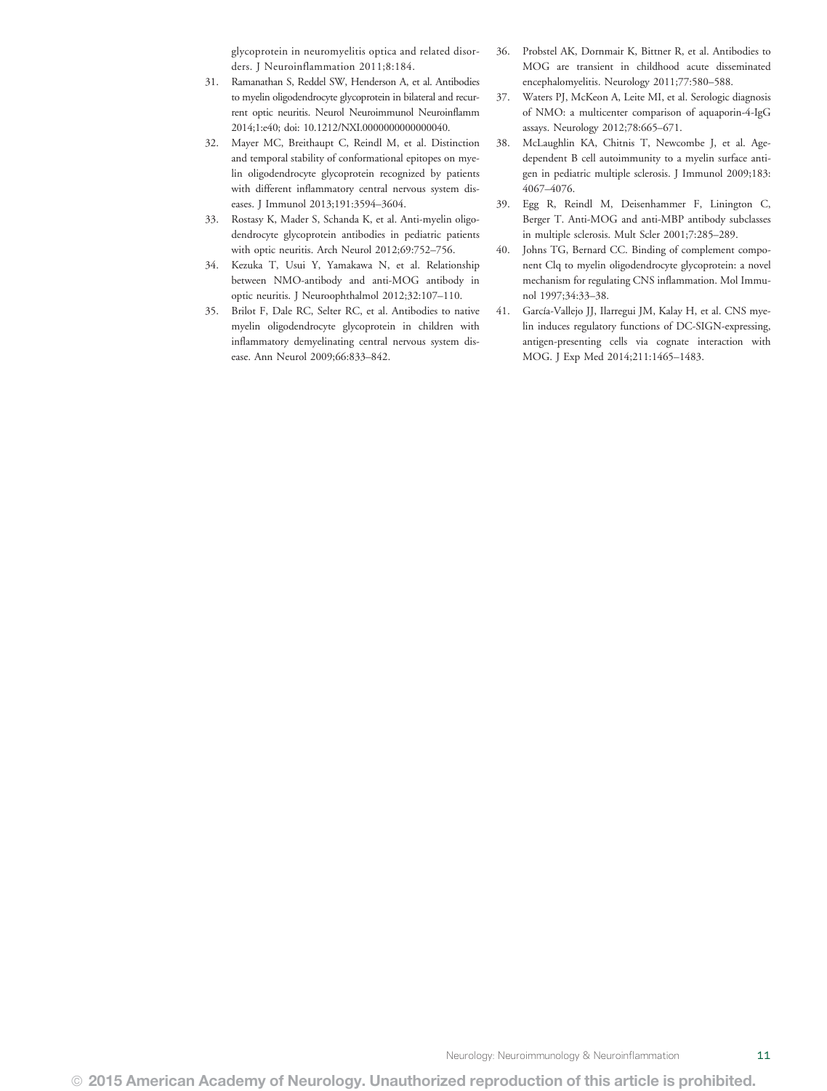glycoprotein in neuromyelitis optica and related disorders. J Neuroinflammation 2011;8:184.

- 31. Ramanathan S, Reddel SW, Henderson A, et al. Antibodies to myelin oligodendrocyte glycoprotein in bilateral and recurrent optic neuritis. Neurol Neuroimmunol Neuroinflamm 2014;1:e40; doi: [10.1212/NXI.0000000000000040.](http://dx.doi.org/10.1212/NXI.0000000000000040)
- 32. Mayer MC, Breithaupt C, Reindl M, et al. Distinction and temporal stability of conformational epitopes on myelin oligodendrocyte glycoprotein recognized by patients with different inflammatory central nervous system diseases. J Immunol 2013;191:3594–3604.
- 33. Rostasy K, Mader S, Schanda K, et al. Anti-myelin oligodendrocyte glycoprotein antibodies in pediatric patients with optic neuritis. Arch Neurol 2012;69:752–756.
- 34. Kezuka T, Usui Y, Yamakawa N, et al. Relationship between NMO-antibody and anti-MOG antibody in optic neuritis. J Neuroophthalmol 2012;32:107–110.
- 35. Brilot F, Dale RC, Selter RC, et al. Antibodies to native myelin oligodendrocyte glycoprotein in children with inflammatory demyelinating central nervous system disease. Ann Neurol 2009;66:833–842.
- 36. Probstel AK, Dornmair K, Bittner R, et al. Antibodies to MOG are transient in childhood acute disseminated encephalomyelitis. Neurology 2011;77:580–588.
- 37. Waters PJ, McKeon A, Leite MI, et al. Serologic diagnosis of NMO: a multicenter comparison of aquaporin-4-IgG assays. Neurology 2012;78:665–671.
- 38. McLaughlin KA, Chitnis T, Newcombe J, et al. Agedependent B cell autoimmunity to a myelin surface antigen in pediatric multiple sclerosis. J Immunol 2009;183: 4067–4076.
- 39. Egg R, Reindl M, Deisenhammer F, Linington C, Berger T. Anti-MOG and anti-MBP antibody subclasses in multiple sclerosis. Mult Scler 2001;7:285–289.
- 40. Johns TG, Bernard CC. Binding of complement component Clq to myelin oligodendrocyte glycoprotein: a novel mechanism for regulating CNS inflammation. Mol Immunol 1997;34:33–38.
- 41. García-Vallejo JJ, Ilarregui JM, Kalay H, et al. CNS myelin induces regulatory functions of DC-SIGN-expressing, antigen-presenting cells via cognate interaction with MOG. J Exp Med 2014;211:1465–1483.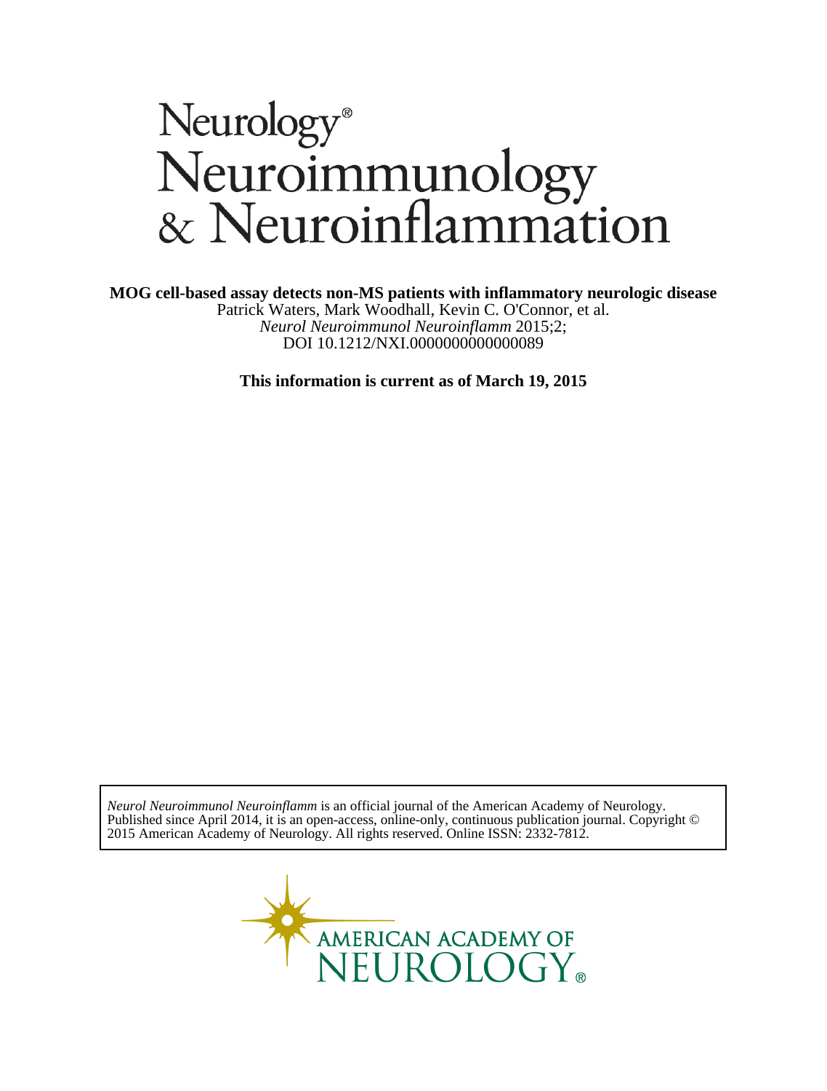# Neurology®<br>Neuroimmunology<br>& Neuroinflammation

**MOG cell-based assay detects non-MS patients with inflammatory neurologic disease**

DOI 10.1212/NXI.0000000000000089 *Neurol Neuroimmunol Neuroinflamm* 2015;2; Patrick Waters, Mark Woodhall, Kevin C. O'Connor, et al.

**This information is current as of March 19, 2015**

2015 American Academy of Neurology. All rights reserved. Online ISSN: 2332-7812. Published since April 2014, it is an open-access, online-only, continuous publication journal. Copyright © *Neurol Neuroimmunol Neuroinflamm* is an official journal of the American Academy of Neurology.